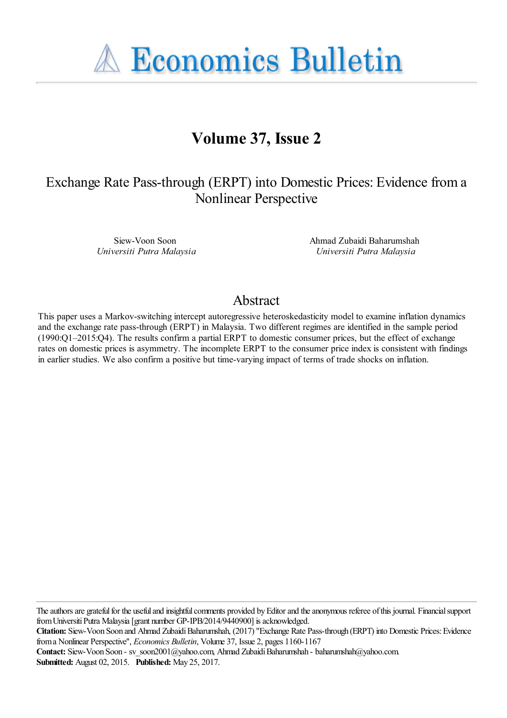**A Economics Bulletin** 

# **Volume 37, Issue 2**

## Exchange Rate Pass-through (ERPT) into Domestic Prices: Evidence from a Nonlinear Perspective

Siew-Voon Soon *Universiti Putra Malaysia* Ahmad Zubaidi Baharumshah *Universiti Putra Malaysia*

### Abstract

This paper uses a Markov-switching intercept autoregressive heteroskedasticity model to examine inflation dynamics and the exchange rate pass-through (ERPT) in Malaysia. Two different regimes are identified in the sample period (1990:Q1–2015:Q4). The results confirm a partial ERPT to domestic consumer prices, but the effect of exchange rates on domestic prices is asymmetry. The incomplete ERPT to the consumer price index is consistent with findings in earlier studies. We also confirm a positive but time-varying impact of terms of trade shocks on inflation.

The authors are grateful for the useful and insightful comments provided by Editor and the anonymous referee of this journal. Financial support from Universiti Putra Malaysia [grant number GP-IPB/2014/9440900] is acknowledged.

**Citation:** Siew-Voon Soon and Ahmad Zubaidi Baharumshah, (2017) ''Exchange Rate Pass-through (ERPT) into Domestic Prices: Evidence from a Nonlinear Perspective'', *Economics Bulletin*, Volume 37, Issue 2, pages 1160-1167

Contact: Siew-Voon Soon - sv\_soon2001@yahoo.com, Ahmad Zubaidi Baharumshah - baharumshah@yahoo.com. **Submitted:** August 02, 2015. **Published:** May 25, 2017.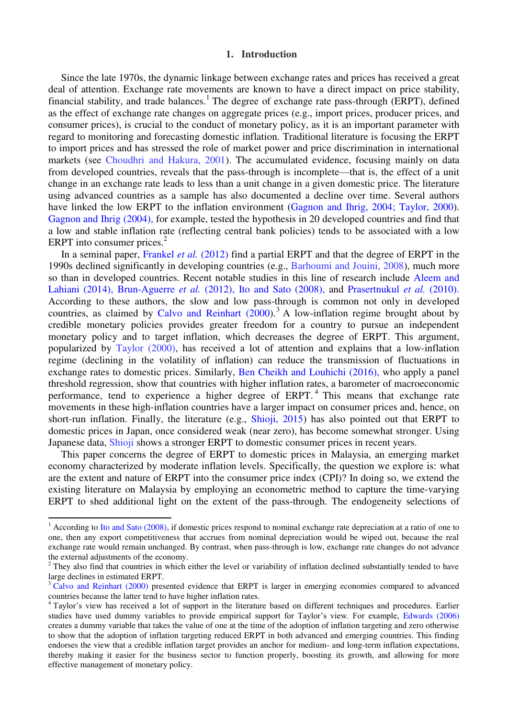#### **1. Introduction**

 Since the late 1970s, the dynamic linkage between exchange rates and prices has received a great deal of attention. Exchange rate movements are known to have a direct impact on price stability, financial stability, and trade balances.<sup>1</sup> The degree of exchange rate pass-through (ERPT), defined as the effect of exchange rate changes on aggregate prices (e.g., import prices, producer prices, and consumer prices), is crucial to the conduct of monetary policy, as it is an important parameter with regard to monitoring and forecasting domestic inflation. Traditional literature is focusing the ERPT to import prices and has stressed the role of market power and price discrimination in international markets (see Choudhri and Hakura, 2001). The accumulated evidence, focusing mainly on data from developed countries, reveals that the pass-through is incomplete—that is, the effect of a unit change in an exchange rate leads to less than a unit change in a given domestic price. The literature using advanced countries as a sample has also documented a decline over time. Several authors have linked the low ERPT to the inflation environment (Gagnon and Ihrig, 2004; Taylor, 2000). Gagnon and Ihrig (2004), for example, tested the hypothesis in 20 developed countries and find that a low and stable inflation rate (reflecting central bank policies) tends to be associated with a low ERPT into consumer prices. $2$ 

 In a seminal paper, Frankel *et al.* (2012) find a partial ERPT and that the degree of ERPT in the 1990s declined significantly in developing countries (e.g., Barhoumi and Jouini, 2008), much more so than in developed countries. Recent notable studies in this line of research include Aleem and Lahiani (2014), Brun-Aguerre *et al.* (2012), Ito and Sato (2008), and Prasertnukul *et al.* (2010). According to these authors, the slow and low pass-through is common not only in developed countries, as claimed by Calvo and Reinhart  $(2000)$ .<sup>3</sup> A low-inflation regime brought about by credible monetary policies provides greater freedom for a country to pursue an independent monetary policy and to target inflation, which decreases the degree of ERPT. This argument, popularized by Taylor (2000), has received a lot of attention and explains that a low-inflation regime (declining in the volatility of inflation) can reduce the transmission of fluctuations in exchange rates to domestic prices. Similarly, Ben Cheikh and Louhichi (2016), who apply a panel threshold regression, show that countries with higher inflation rates, a barometer of macroeconomic performance, tend to experience a higher degree of ERPT.<sup>4</sup> This means that exchange rate movements in these high-inflation countries have a larger impact on consumer prices and, hence, on short-run inflation. Finally, the literature (e.g., Shioji, 2015) has also pointed out that ERPT to domestic prices in Japan, once considered weak (near zero), has become somewhat stronger. Using Japanese data, Shioji shows a stronger ERPT to domestic consumer prices in recent years.

 This paper concerns the degree of ERPT to domestic prices in Malaysia, an emerging market economy characterized by moderate inflation levels. Specifically, the question we explore is: what are the extent and nature of ERPT into the consumer price index (CPI)? In doing so, we extend the existing literature on Malaysia by employing an econometric method to capture the time-varying ERPT to shed additional light on the extent of the pass-through. The endogeneity selections of

-

 $1$  According to Ito and Sato (2008), if domestic prices respond to nominal exchange rate depreciation at a ratio of one to one, then any export competitiveness that accrues from nominal depreciation would be wiped out, because the real exchange rate would remain unchanged. By contrast, when pass-through is low, exchange rate changes do not advance the external adjustments of the economy.

 $2$  They also find that countries in which either the level or variability of inflation declined substantially tended to have large declines in estimated ERPT.

<sup>&</sup>lt;sup>3</sup> Calvo and Reinhart (2000) presented evidence that ERPT is larger in emerging economies compared to advanced countries because the latter tend to have higher inflation rates.

<sup>4</sup> Taylor's view has received a lot of support in the literature based on different techniques and procedures. Earlier studies have used dummy variables to provide empirical support for Taylor's view. For example, Edwards (2006) creates a dummy variable that takes the value of one at the time of the adoption of inflation targeting and zero otherwise to show that the adoption of inflation targeting reduced ERPT in both advanced and emerging countries. This finding endorses the view that a credible inflation target provides an anchor for medium- and long-term inflation expectations, thereby making it easier for the business sector to function properly, boosting its growth, and allowing for more effective management of monetary policy.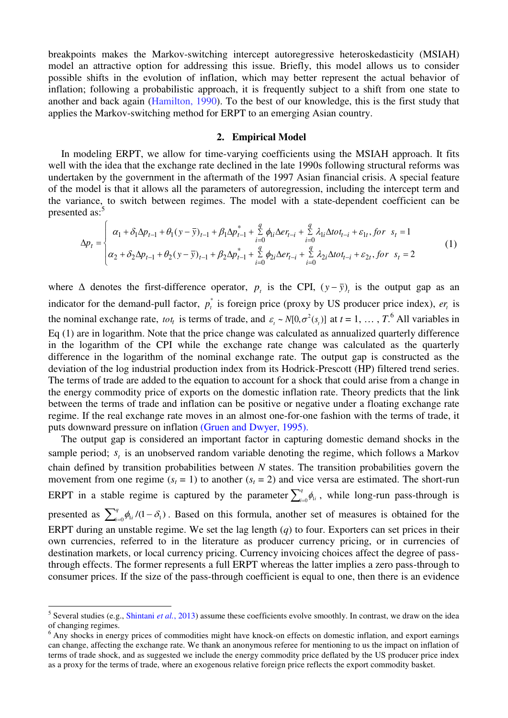breakpoints makes the Markov-switching intercept autoregressive heteroskedasticity (MSIAH) model an attractive option for addressing this issue. Briefly, this model allows us to consider possible shifts in the evolution of inflation, which may better represent the actual behavior of inflation; following a probabilistic approach, it is frequently subject to a shift from one state to another and back again (Hamilton, 1990). To the best of our knowledge, this is the first study that applies the Markov-switching method for ERPT to an emerging Asian country.

#### **2. Empirical Model**

 In modeling ERPT, we allow for time-varying coefficients using the MSIAH approach. It fits well with the idea that the exchange rate declined in the late 1990s following structural reforms was undertaken by the government in the aftermath of the 1997 Asian financial crisis. A special feature of the model is that it allows all the parameters of autoregression, including the intercept term and the variance, to switch between regimes. The model with a state-dependent coefficient can be presented as:<sup>5</sup>

$$
\Delta p_t = \begin{cases}\n\alpha_1 + \delta_1 \Delta p_{t-1} + \theta_1 (y - \bar{y})_{t-1} + \beta_1 \Delta p_{t-1}^* + \sum_{i=0}^q \phi_{li} \Delta e_{t-i} + \sum_{i=0}^q \lambda_{li} \Delta t \sigma_{t-i} + \varepsilon_{1t}, \text{for } s_t = 1 \\
\alpha_2 + \delta_2 \Delta p_{t-1} + \theta_2 (y - \bar{y})_{t-1} + \beta_2 \Delta p_{t-1}^* + \sum_{i=0}^q \phi_{2i} \Delta e_{t-i} + \sum_{i=0}^q \lambda_{2i} \Delta t \sigma_{t-i} + \varepsilon_{2t}, \text{for } s_t = 2\n\end{cases}
$$
\n(1)

where  $\Delta$  denotes the first-difference operator,  $p_t$  is the CPI,  $(y - \bar{y})_t$  is the output gap as an indicator for the demand-pull factor,  $p_t^*$  is foreign price (proxy by US producer price index),  $er_t$  is the nominal exchange rate, *tot<sub>t</sub>* is terms of trade, and  $\varepsilon_t \sim N[0, \sigma^2(s_t)]$  at  $t = 1, ..., T$ .<sup>6</sup> All variables in Eq (1) are in logarithm. Note that the price change was calculated as annualized quarterly difference in the logarithm of the CPI while the exchange rate change was calculated as the quarterly difference in the logarithm of the nominal exchange rate. The output gap is constructed as the deviation of the log industrial production index from its Hodrick-Prescott (HP) filtered trend series. The terms of trade are added to the equation to account for a shock that could arise from a change in the energy commodity price of exports on the domestic inflation rate. Theory predicts that the link between the terms of trade and inflation can be positive or negative under a floating exchange rate regime. If the real exchange rate moves in an almost one-for-one fashion with the terms of trade, it puts downward pressure on inflation (Gruen and Dwyer, 1995).

 The output gap is considered an important factor in capturing domestic demand shocks in the sample period;  $s<sub>t</sub>$  is an unobserved random variable denoting the regime, which follows a Markov chain defined by transition probabilities between *N* states. The transition probabilities govern the movement from one regime  $(s_t = 1)$  to another  $(s_t = 2)$  and vice versa are estimated. The short-run ERPT in a stable regime is captured by the parameter  $\sum_{i=1}^{q}$  $\phi_{\mu}$ , while long-run pass-through is presented as  $\sum_{i=0}^{q} \phi_{1i} / (1 - \delta_1)$ *q*  $\phi_{i}^{q}$ ,  $\rho_{i}/(1-\delta_{i})$ . Based on this formula, another set of measures is obtained for the ERPT during an unstable regime. We set the lag length (*q*) to four. Exporters can set prices in their own currencies, referred to in the literature as producer currency pricing, or in currencies of destination markets, or local currency pricing. Currency invoicing choices affect the degree of passthrough effects. The former represents a full ERPT whereas the latter implies a zero pass-through to consumer prices. If the size of the pass-through coefficient is equal to one, then there is an evidence

<sup>&</sup>lt;sup>5</sup> Several studies (e.g., Shintani *et al.*, 2013) assume these coefficients evolve smoothly. In contrast, we draw on the idea of changing regimes.

<sup>&</sup>lt;sup>6</sup> Any shocks in energy prices of commodities might have knock-on effects on domestic inflation, and export earnings can change, affecting the exchange rate. We thank an anonymous referee for mentioning to us the impact on inflation of terms of trade shock, and as suggested we include the energy commodity price deflated by the US producer price index as a proxy for the terms of trade, where an exogenous relative foreign price reflects the export commodity basket.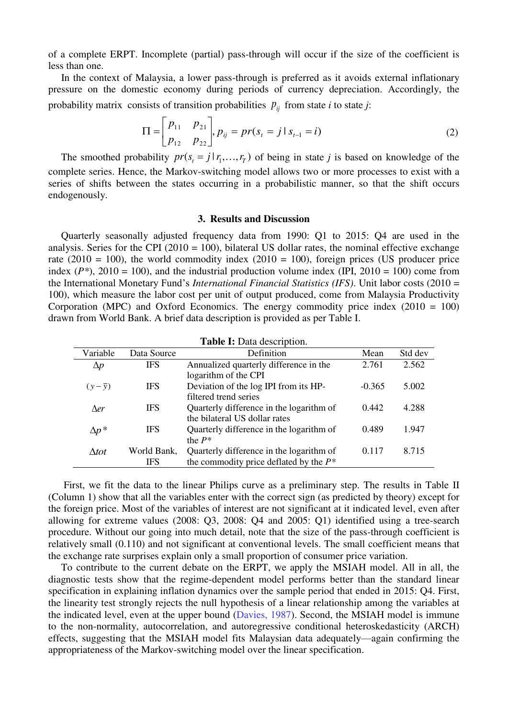of a complete ERPT. Incomplete (partial) pass-through will occur if the size of the coefficient is less than one.

 In the context of Malaysia, a lower pass-through is preferred as it avoids external inflationary pressure on the domestic economy during periods of currency depreciation. Accordingly, the probability matrix consists of transition probabilities  $p_{ij}$  from state *i* to state *j*:

$$
\Pi = \begin{bmatrix} p_{11} & p_{21} \\ p_{12} & p_{22} \end{bmatrix}, p_{ij} = pr(s_i = j | s_{i-1} = i)
$$
\n(2)

The smoothed probability  $pr(s_i = j | r_1, ..., r_T)$  of being in state *j* is based on knowledge of the complete series. Hence, the Markov-switching model allows two or more processes to exist with a series of shifts between the states occurring in a probabilistic manner, so that the shift occurs endogenously.

#### **3. Results and Discussion**

 Quarterly seasonally adjusted frequency data from 1990: Q1 to 2015: Q4 are used in the analysis. Series for the CPI (2010 = 100), bilateral US dollar rates, the nominal effective exchange rate (2010 = 100), the world commodity index (2010 = 100), foreign prices (US producer price index  $(P^*)$ , 2010 = 100), and the industrial production volume index  $(IPI, 2010 = 100)$  come from the International Monetary Fund's *International Financial Statistics (IFS)*. Unit labor costs (2010 = 100), which measure the labor cost per unit of output produced, come from Malaysia Productivity Corporation (MPC) and Oxford Economics. The energy commodity price index (2010 = 100) drawn from World Bank. A brief data description is provided as per Table I.

| <b>Table I:</b> Data description. |             |                                           |          |         |  |  |
|-----------------------------------|-------------|-------------------------------------------|----------|---------|--|--|
| Variable                          | Data Source | Definition                                | Mean     | Std dev |  |  |
| $\Delta p$                        | <b>IFS</b>  | Annualized quarterly difference in the    | 2.761    | 2.562   |  |  |
|                                   |             | logarithm of the CPI                      |          |         |  |  |
| $(y-\bar{y})$                     | <b>IFS</b>  | Deviation of the log IPI from its HP-     | $-0.365$ | 5.002   |  |  |
|                                   |             | filtered trend series                     |          |         |  |  |
| <b>Ner</b>                        | <b>IFS</b>  | Quarterly difference in the logarithm of  | 0.442    | 4.288   |  |  |
|                                   |             | the bilateral US dollar rates             |          |         |  |  |
| $\Delta p^*$                      | <b>IFS</b>  | Quarterly difference in the logarithm of  | 0.489    | 1.947   |  |  |
|                                   |             | the $P^*$                                 |          |         |  |  |
| Atot                              | World Bank, | Quarterly difference in the logarithm of  | 0.117    | 8.715   |  |  |
|                                   | <b>IFS</b>  | the commodity price deflated by the $P^*$ |          |         |  |  |

 First, we fit the data to the linear Philips curve as a preliminary step. The results in Table II (Column 1) show that all the variables enter with the correct sign (as predicted by theory) except for the foreign price. Most of the variables of interest are not significant at it indicated level, even after allowing for extreme values (2008: Q3, 2008: Q4 and 2005: Q1) identified using a tree-search procedure. Without our going into much detail, note that the size of the pass-through coefficient is relatively small (0.110) and not significant at conventional levels. The small coefficient means that the exchange rate surprises explain only a small proportion of consumer price variation.

 To contribute to the current debate on the ERPT, we apply the MSIAH model. All in all, the diagnostic tests show that the regime-dependent model performs better than the standard linear specification in explaining inflation dynamics over the sample period that ended in 2015: Q4. First, the linearity test strongly rejects the null hypothesis of a linear relationship among the variables at the indicated level, even at the upper bound (Davies, 1987). Second, the MSIAH model is immune to the non-normality, autocorrelation, and autoregressive conditional heteroskedasticity (ARCH) effects, suggesting that the MSIAH model fits Malaysian data adequately—again confirming the appropriateness of the Markov-switching model over the linear specification.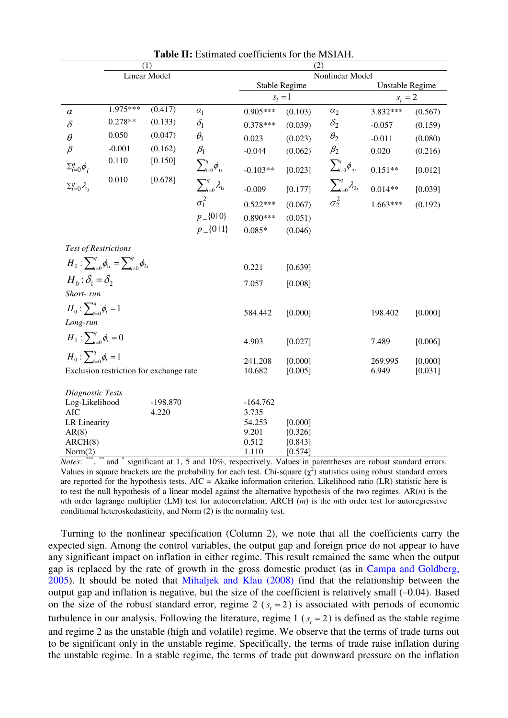|                                                        | (1)                         |            |                                       |               | (2)             |                               |                 |         |  |
|--------------------------------------------------------|-----------------------------|------------|---------------------------------------|---------------|-----------------|-------------------------------|-----------------|---------|--|
|                                                        | Linear Model                |            |                                       |               | Nonlinear Model |                               |                 |         |  |
|                                                        |                             |            |                                       | Stable Regime |                 |                               | Unstable Regime |         |  |
|                                                        |                             |            |                                       | $s_t = 1$     |                 |                               | $s_t = 2$       |         |  |
| $\alpha$                                               | 1.975***                    | (0.417)    | $\alpha_1$                            | $0.905***$    | (0.103)         | $\alpha_2$                    | 3.832***        | (0.567) |  |
| $\delta$                                               | $0.278**$                   | (0.133)    | $\delta_1$                            | $0.378***$    | (0.039)         | $\delta_2$                    | $-0.057$        | (0.159) |  |
| $\theta$                                               | 0.050                       | (0.047)    | $\theta_1$                            | 0.023         | (0.023)         | $\theta_2$                    | $-0.011$        | (0.080) |  |
| $\beta$                                                | $-0.001$                    | (0.162)    | $\beta_1$                             | $-0.044$      | (0.062)         | $\beta_2$                     | 0.020           | (0.216) |  |
| $\Sigma_{i=0}^q \phi_i$                                | 0.110                       | [0.150]    | $\sum_{i=0}^q \phi_{1i}$              | $-0.103**$    | [0.023]         | $\sum_{i=0}^q \phi_{2i}$      | $0.151**$       | [0.012] |  |
| $\Sigma_{i=0}^q \lambda_i$                             | 0.010                       | [0.678]    | $\sum\nolimits_{i=0}^{q}\lambda_{1i}$ | $-0.009$      | [0.177]         | $\sum_{i=0}^{q} \lambda_{2i}$ | $0.014**$       | [0.039] |  |
|                                                        |                             |            | $\sigma_1^2$                          | $0.522***$    | (0.067)         | $\sigma_2^2$                  | $1.663***$      | (0.192) |  |
|                                                        |                             |            | $p_{-}\{010\}$                        | $0.890***$    | (0.051)         |                               |                 |         |  |
|                                                        |                             |            | $p_{-}$ {0 1}                         | $0.085*$      | (0.046)         |                               |                 |         |  |
|                                                        | <b>Test of Restrictions</b> |            |                                       |               |                 |                               |                 |         |  |
| $H_0: \sum_{i=0}^q \phi_{1i} = \sum_{i=0}^q \phi_{2i}$ |                             |            | 0.221                                 | [0.639]       |                 |                               |                 |         |  |
| $H_0: \delta_1 = \delta_2$                             |                             |            |                                       | 7.057         | [0.008]         |                               |                 |         |  |
| Short-run                                              |                             |            |                                       |               |                 |                               |                 |         |  |
| $H_0: \sum_{i=0}^{q} \phi_i = 1$                       |                             |            |                                       | 584.442       | [0.000]         |                               | 198.402         | [0.000] |  |
| Long-run                                               |                             |            |                                       |               |                 |                               |                 |         |  |
| $H_0: \sum_{i=0}^q \phi_i = 0$                         |                             |            |                                       | 4.903         | [0.027]         |                               | 7.489           | [0.006] |  |
| $H_0: \sum_{i=0}^{q} \phi_i = 1$                       |                             |            |                                       | 241.208       | [0.000]         |                               | 269.995         | [0.000] |  |
| Exclusion restriction for exchange rate                |                             |            |                                       | 10.682        | [0.005]         |                               | 6.949           | [0.031] |  |
|                                                        |                             |            |                                       |               |                 |                               |                 |         |  |
| Diagnostic Tests<br>Log-Likelihood                     |                             | $-198.870$ |                                       | $-164.762$    |                 |                               |                 |         |  |
| <b>AIC</b>                                             |                             | 4.220      |                                       | 3.735         |                 |                               |                 |         |  |
| LR Linearity                                           |                             |            |                                       | 54.253        | [0.000]         |                               |                 |         |  |
| AR(8)                                                  |                             |            |                                       | 9.201         | [0.326]         |                               |                 |         |  |
| ARCH(8)                                                |                             |            |                                       | 0.512         | [0.843]         |                               |                 |         |  |
| Norm(2)                                                |                             |            |                                       | 1.110         | [0.574]         |                               |                 |         |  |

**Table II:** Estimated coefficients for the MSIAH.

Notes: \*\*\*, \*\*\* and \* significant at 1, 5 and 10%, respectively. Values in parentheses are robust standard errors. Values in square brackets are the probability for each test. Chi-square  $(\chi^2)$  statistics using robust standard errors are reported for the hypothesis tests.  $AIC = Akaike$  information criterion. Likelihood ratio (LR) statistic here is to test the null hypothesis of a linear model against the alternative hypothesis of the two regimes.  $AR(n)$  is the *n*th order lagrange multiplier (LM) test for autocorrelation; ARCH (*m*) is the *m*th order test for autoregressive conditional heteroskedasticity, and Norm (2) is the normality test.

 Turning to the nonlinear specification (Column 2), we note that all the coefficients carry the expected sign. Among the control variables, the output gap and foreign price do not appear to have any significant impact on inflation in either regime. This result remained the same when the output gap is replaced by the rate of growth in the gross domestic product (as in Campa and Goldberg, 2005). It should be noted that Mihaljek and Klau (2008) find that the relationship between the output gap and inflation is negative, but the size of the coefficient is relatively small (–0.04). Based on the size of the robust standard error, regime 2 ( $s<sub>t</sub> = 2$ ) is associated with periods of economic turbulence in our analysis. Following the literature, regime  $1$  ( $s<sub>t</sub> = 2$ ) is defined as the stable regime and regime 2 as the unstable (high and volatile) regime. We observe that the terms of trade turns out to be significant only in the unstable regime. Specifically, the terms of trade raise inflation during the unstable regime. In a stable regime, the terms of trade put downward pressure on the inflation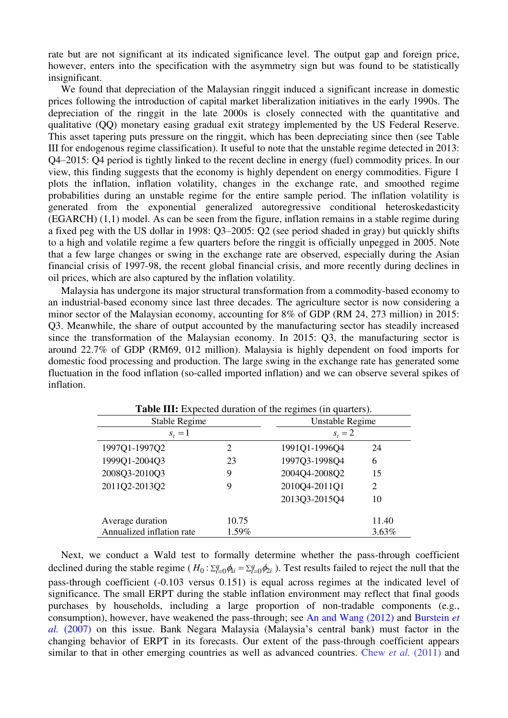rate but are not significant at its indicated significance level. The output gap and foreign price, however, enters into the specification with the asymmetry sign but was found to be statistically insignificant.

 We found that depreciation of the Malaysian ringgit induced a significant increase in domestic prices following the introduction of capital market liberalization initiatives in the early 1990s. The depreciation of the ringgit in the late 2000s is closely connected with the quantitative and qualitative (QQ) monetary easing gradual exit strategy implemented by the US Federal Reserve. This asset tapering puts pressure on the ringgit, which has been depreciating since then (see Table III for endogenous regime classification). It useful to note that the unstable regime detected in 2013: Q4–2015: Q4 period is tightly linked to the recent decline in energy (fuel) commodity prices. In our view, this finding suggests that the economy is highly dependent on energy commodities. Figure 1 plots the inflation, inflation volatility, changes in the exchange rate, and smoothed regime probabilities during an unstable regime for the entire sample period. The inflation volatility is generated from the exponential generalized autoregressive conditional heteroskedasticity (EGARCH) (1,1) model. As can be seen from the figure, inflation remains in a stable regime during a fixed peg with the US dollar in 1998: Q3–2005: Q2 (see period shaded in gray) but quickly shifts to a high and volatile regime a few quarters before the ringgit is officially unpegged in 2005. Note that a few large changes or swing in the exchange rate are observed, especially during the Asian financial crisis of 1997-98, the recent global financial crisis, and more recently during declines in oil prices, which are also captured by the inflation volatility.

 Malaysia has undergone its major structural transformation from a commodity-based economy to an industrial-based economy since last three decades. The agriculture sector is now considering a minor sector of the Malaysian economy, accounting for 8% of GDP (RM 24, 273 million) in 2015: Q3. Meanwhile, the share of output accounted by the manufacturing sector has steadily increased since the transformation of the Malaysian economy. In 2015: Q3, the manufacturing sector is around 22.7% of GDP (RM69, 012 million). Malaysia is highly dependent on food imports for domestic food processing and production. The large swing in the exchange rate has generated some fluctuation in the food inflation (so-called imported inflation) and we can observe several spikes of inflation.

| <b>Table III:</b> Expected duration of the regimes (in quarters). |                |                 |          |  |  |  |
|-------------------------------------------------------------------|----------------|-----------------|----------|--|--|--|
| Stable Regime                                                     |                | Unstable Regime |          |  |  |  |
| $s_t = 1$                                                         |                | $s_t = 2$       |          |  |  |  |
| 1997Q1-1997Q2                                                     | $\mathfrak{D}$ | 1991Q1-1996Q4   | 24       |  |  |  |
| 1999Q1-2004Q3                                                     | 23             | 1997Q3-1998Q4   | 6        |  |  |  |
| 2008Q3-2010Q3                                                     | 9              | 2004Q4-2008Q2   | 15       |  |  |  |
| 2011Q2-2013Q2                                                     | 9              | 2010Q4-2011Q1   | 2        |  |  |  |
|                                                                   |                | 2013Q3-2015Q4   | 10       |  |  |  |
| Average duration                                                  | 10.75          |                 | 11.40    |  |  |  |
| Annualized inflation rate                                         | 1.59%          |                 | $3.63\%$ |  |  |  |

 Next, we conduct a Wald test to formally determine whether the pass-through coefficient declined during the stable regime ( $H_0: \sum_{i=0}^q \phi_{li} = \sum_{i=0}^q \phi_{2i}$ ). Test results failed to reject the null that the pass-through coefficient (-0.103 versus 0.151) is equal across regimes at the indicated level of significance. The small ERPT during the stable inflation environment may reflect that final goods purchases by households, including a large proportion of non-tradable components (e.g., consumption), however, have weakened the pass-through; see An and Wang (2012) and Burstein *et al.* (2007) on this issue. Bank Negara Malaysia (Malaysia's central bank) must factor in the changing behavior of ERPT in its forecasts. Our extent of the pass-through coefficient appears similar to that in other emerging countries as well as advanced countries. Chew *et al.* (2011) and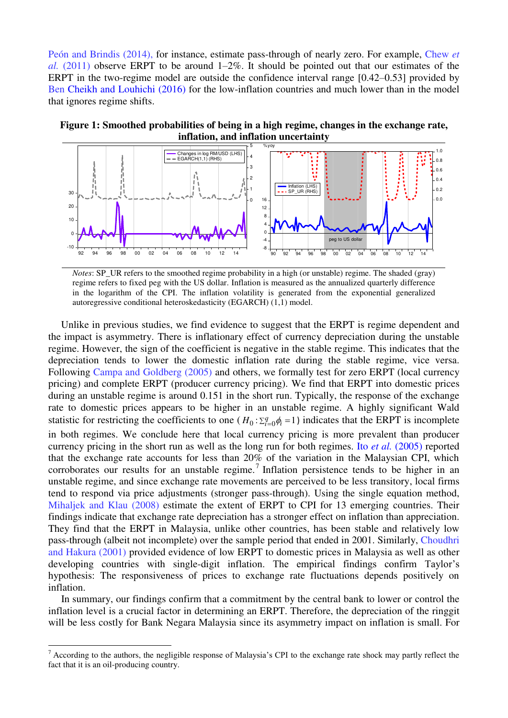Peón and Brindis (2014), for instance, estimate pass-through of nearly zero. For example, Chew *et al.* (2011) observe ERPT to be around 1–2%. It should be pointed out that our estimates of the ERPT in the two-regime model are outside the confidence interval range [0.42–0.53] provided by Ben Cheikh and Louhichi (2016) for the low-inflation countries and much lower than in the model that ignores regime shifts.





*Notes*: SP\_UR refers to the smoothed regime probability in a high (or unstable) regime. The shaded (gray) regime refers to fixed peg with the US dollar. Inflation is measured as the annualized quarterly difference in the logarithm of the CPI. The inflation volatility is generated from the exponential generalized autoregressive conditional heteroskedasticity (EGARCH) (1,1) model.

 Unlike in previous studies, we find evidence to suggest that the ERPT is regime dependent and the impact is asymmetry. There is inflationary effect of currency depreciation during the unstable regime. However, the sign of the coefficient is negative in the stable regime. This indicates that the depreciation tends to lower the domestic inflation rate during the stable regime, vice versa. Following Campa and Goldberg (2005) and others, we formally test for zero ERPT (local currency pricing) and complete ERPT (producer currency pricing). We find that ERPT into domestic prices during an unstable regime is around 0.151 in the short run. Typically, the response of the exchange rate to domestic prices appears to be higher in an unstable regime. A highly significant Wald statistic for restricting the coefficients to one ( $H_0: \sum_{i=0}^{q} \phi_i = 1$ ) indicates that the ERPT is incomplete in both regimes. We conclude here that local currency pricing is more prevalent than producer currency pricing in the short run as well as the long run for both regimes. Ito *et al.* (2005) reported that the exchange rate accounts for less than 20% of the variation in the Malaysian CPI, which corroborates our results for an unstable regime.<sup>7</sup> Inflation persistence tends to be higher in an unstable regime, and since exchange rate movements are perceived to be less transitory, local firms tend to respond via price adjustments (stronger pass-through). Using the single equation method, Mihaljek and Klau (2008) estimate the extent of ERPT to CPI for 13 emerging countries. Their findings indicate that exchange rate depreciation has a stronger effect on inflation than appreciation. They find that the ERPT in Malaysia, unlike other countries, has been stable and relatively low pass-through (albeit not incomplete) over the sample period that ended in 2001. Similarly, Choudhri and Hakura (2001) provided evidence of low ERPT to domestic prices in Malaysia as well as other developing countries with single-digit inflation. The empirical findings confirm Taylor's hypothesis: The responsiveness of prices to exchange rate fluctuations depends positively on inflation.

 In summary, our findings confirm that a commitment by the central bank to lower or control the inflation level is a crucial factor in determining an ERPT. Therefore, the depreciation of the ringgit will be less costly for Bank Negara Malaysia since its asymmetry impact on inflation is small. For

-

 $<sup>7</sup>$  According to the authors, the negligible response of Malaysia's CPI to the exchange rate shock may partly reflect the</sup> fact that it is an oil-producing country.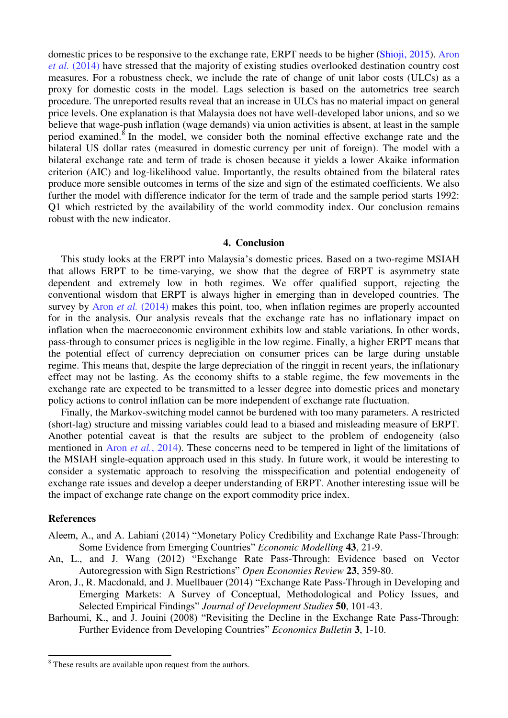domestic prices to be responsive to the exchange rate, ERPT needs to be higher (Shioji, 2015). Aron *et al.* (2014) have stressed that the majority of existing studies overlooked destination country cost measures. For a robustness check, we include the rate of change of unit labor costs (ULCs) as a proxy for domestic costs in the model. Lags selection is based on the autometrics tree search procedure. The unreported results reveal that an increase in ULCs has no material impact on general price levels. One explanation is that Malaysia does not have well-developed labor unions, and so we believe that wage-push inflation (wage demands) via union activities is absent, at least in the sample period examined.<sup>8</sup> In the model, we consider both the nominal effective exchange rate and the bilateral US dollar rates (measured in domestic currency per unit of foreign). The model with a bilateral exchange rate and term of trade is chosen because it yields a lower Akaike information criterion (AIC) and log-likelihood value. Importantly, the results obtained from the bilateral rates produce more sensible outcomes in terms of the size and sign of the estimated coefficients. We also further the model with difference indicator for the term of trade and the sample period starts 1992: Q1 which restricted by the availability of the world commodity index. Our conclusion remains robust with the new indicator.

#### **4. Conclusion**

 This study looks at the ERPT into Malaysia's domestic prices. Based on a two-regime MSIAH that allows ERPT to be time-varying, we show that the degree of ERPT is asymmetry state dependent and extremely low in both regimes. We offer qualified support, rejecting the conventional wisdom that ERPT is always higher in emerging than in developed countries. The survey by Aron *et al.* (2014) makes this point, too, when inflation regimes are properly accounted for in the analysis. Our analysis reveals that the exchange rate has no inflationary impact on inflation when the macroeconomic environment exhibits low and stable variations. In other words, pass-through to consumer prices is negligible in the low regime. Finally, a higher ERPT means that the potential effect of currency depreciation on consumer prices can be large during unstable regime. This means that, despite the large depreciation of the ringgit in recent years, the inflationary effect may not be lasting. As the economy shifts to a stable regime, the few movements in the exchange rate are expected to be transmitted to a lesser degree into domestic prices and monetary policy actions to control inflation can be more independent of exchange rate fluctuation.

 Finally, the Markov-switching model cannot be burdened with too many parameters. A restricted (short-lag) structure and missing variables could lead to a biased and misleading measure of ERPT. Another potential caveat is that the results are subject to the problem of endogeneity (also mentioned in Aron *et al.*, 2014). These concerns need to be tempered in light of the limitations of the MSIAH single-equation approach used in this study. In future work, it would be interesting to consider a systematic approach to resolving the misspecification and potential endogeneity of exchange rate issues and develop a deeper understanding of ERPT. Another interesting issue will be the impact of exchange rate change on the export commodity price index.

#### **References**

.<br>-

- Aleem, A., and A. Lahiani (2014) "Monetary Policy Credibility and Exchange Rate Pass-Through: Some Evidence from Emerging Countries" *Economic Modelling* **43**, 21-9.
- An, L., and J. Wang (2012) "Exchange Rate Pass-Through: Evidence based on Vector Autoregression with Sign Restrictions" *Open Economies Review* **23**, 359-80.
- Aron, J., R. Macdonald, and J. Muellbauer (2014) "Exchange Rate Pass-Through in Developing and Emerging Markets: A Survey of Conceptual, Methodological and Policy Issues, and Selected Empirical Findings" *Journal of Development Studies* **50**, 101-43.
- Barhoumi, K., and J. Jouini (2008) "Revisiting the Decline in the Exchange Rate Pass-Through: Further Evidence from Developing Countries" *Economics Bulletin* **3**, 1-10.

<sup>&</sup>lt;sup>8</sup> These results are available upon request from the authors.